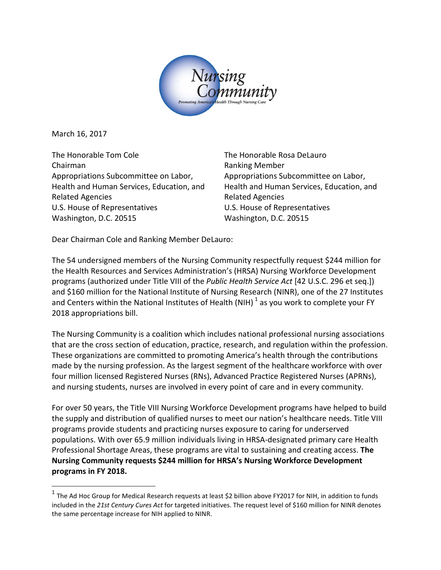

March 16, 2017

The Honorable Tom Cole Chairman Appropriations Subcommittee on Labor, Health and Human Services, Education, and Related Agencies U.S. House of Representatives Washington, D.C. 20515

The Honorable Rosa DeLauro Ranking Member Appropriations Subcommittee on Labor, Health and Human Services, Education, and Related Agencies U.S. House of Representatives Washington, D.C. 20515

Dear Chairman Cole and Ranking Member DeLauro:

The 54 undersigned members of the Nursing Community respectfully request \$244 million for the Health Resources and Services Administration's (HRSA) Nursing Workforce Development programs (authorized under Title VIII of the *Public Health Service Act* [42 U.S.C. 296 et seq.]) and \$160 million for the National Institute of Nursing Research (NINR), one of the 27 Institutes and Centers within the National Institutes of Health (NIH)  $^1$  $^1$  as you work to complete your FY 2018 appropriations bill.

The Nursing Community is a coalition which includes national professional nursing associations that are the cross section of education, practice, research, and regulation within the profession. These organizations are committed to promoting America's health through the contributions made by the nursing profession. As the largest segment of the healthcare workforce with over four million licensed Registered Nurses (RNs), Advanced Practice Registered Nurses (APRNs), and nursing students, nurses are involved in every point of care and in every community.

For over 50 years, the Title VIII Nursing Workforce Development programs have helped to build the supply and distribution of qualified nurses to meet our nation's healthcare needs. Title VIII programs provide students and practicing nurses exposure to caring for underserved populations. With over 65.9 million individuals living in HRSA-designated primary care Health Professional Shortage Areas, these programs are vital to sustaining and creating access. **The Nursing Community requests \$244 million for HRSA's Nursing Workforce Development programs in FY 2018.**

<span id="page-0-0"></span> $1$  The Ad Hoc Group for Medical Research requests at least \$2 billion above FY2017 for NIH, in addition to funds included in the *21st Century Cures Act* for targeted initiatives. The request level of \$160 million for NINR denotes the same percentage increase for NIH applied to NINR.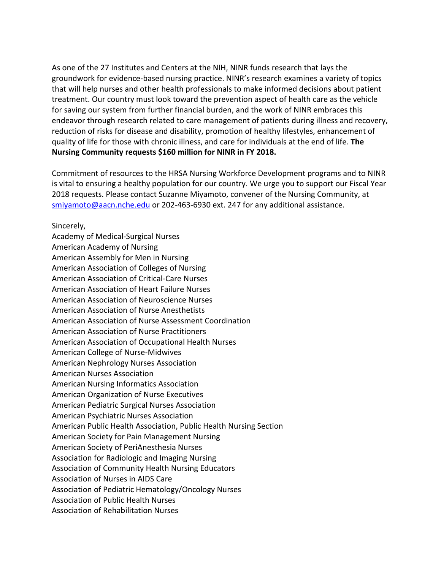As one of the 27 Institutes and Centers at the NIH, NINR funds research that lays the groundwork for evidence-based nursing practice. NINR's research examines a variety of topics that will help nurses and other health professionals to make informed decisions about patient treatment. Our country must look toward the prevention aspect of health care as the vehicle for saving our system from further financial burden, and the work of NINR embraces this endeavor through research related to care management of patients during illness and recovery, reduction of risks for disease and disability, promotion of healthy lifestyles, enhancement of quality of life for those with chronic illness, and care for individuals at the end of life. **The Nursing Community requests \$160 million for NINR in FY 2018.**

Commitment of resources to the HRSA Nursing Workforce Development programs and to NINR is vital to ensuring a healthy population for our country. We urge you to support our Fiscal Year 2018 requests. Please contact Suzanne Miyamoto, convener of the Nursing Community, at [smiyamoto@aacn.nche.edu](mailto:smiyamoto@aacn.nche.edu) or 202-463-6930 ext. 247 for any additional assistance.

Sincerely,

Academy of Medical-Surgical Nurses American Academy of Nursing American Assembly for Men in Nursing American Association of Colleges of Nursing American Association of Critical-Care Nurses American Association of Heart Failure Nurses American Association of Neuroscience Nurses American Association of Nurse Anesthetists American Association of Nurse Assessment Coordination American Association of Nurse Practitioners American Association of Occupational Health Nurses American College of Nurse-Midwives American Nephrology Nurses Association American Nurses Association American Nursing Informatics Association American Organization of Nurse Executives American Pediatric Surgical Nurses Association American Psychiatric Nurses Association American Public Health Association, Public Health Nursing Section American Society for Pain Management Nursing American Society of PeriAnesthesia Nurses Association for Radiologic and Imaging Nursing Association of Community Health Nursing Educators Association of Nurses in AIDS Care Association of Pediatric Hematology/Oncology Nurses Association of Public Health Nurses Association of Rehabilitation Nurses